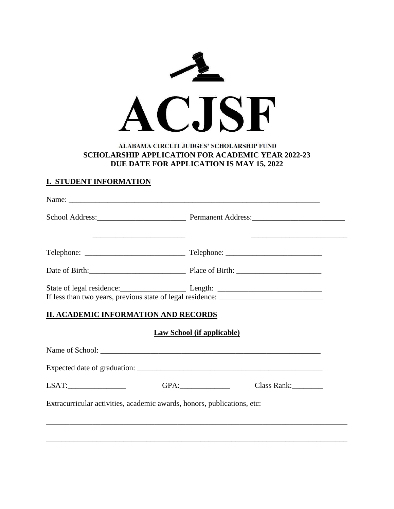

## ALABAMA CIRCUIT JUDGES' SCHOLARSHIP FUND **SCHOLARSHIP APPLICATION FOR ACADEMIC YEAR 2022-23 DUE DATE FOR APPLICATION IS MAY 15, 2022**

# **I. STUDENT INFORMATION**

|                                                                                   | School Address: 2000 Permanent Address: 2000 Permanent Address:            |  |
|-----------------------------------------------------------------------------------|----------------------------------------------------------------------------|--|
|                                                                                   |                                                                            |  |
|                                                                                   | Date of Birth: 2008 and 2010 Place of Birth: 2008 and 2010 Place of Birth: |  |
| If less than two years, previous state of legal residence: ______________________ |                                                                            |  |
| <b>II. ACADEMIC INFORMATION AND RECORDS</b>                                       |                                                                            |  |
|                                                                                   | <b>Law School (if applicable)</b>                                          |  |
|                                                                                   |                                                                            |  |
|                                                                                   |                                                                            |  |
| $LSAT: \underline{\hspace{2cm}} \underline{\hspace{2cm}}$                         | Class Rank:                                                                |  |
| Extracurricular activities, academic awards, honors, publications, etc:           |                                                                            |  |
|                                                                                   |                                                                            |  |
|                                                                                   |                                                                            |  |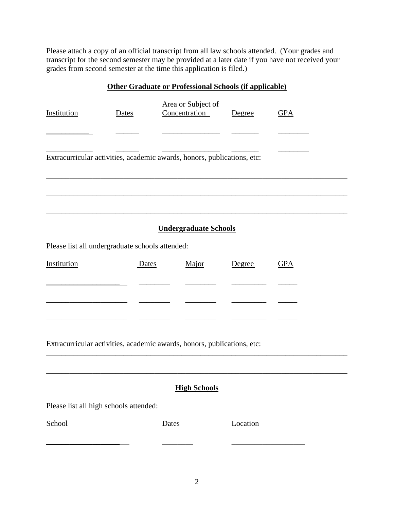Please attach a copy of an official transcript from all law schools attended. (Your grades and transcript for the second semester may be provided at a later date if you have not received your grades from second semester at the time this application is filed.)

#### **Other Graduate or Professional Schools (if applicable)**

| Institution                                                             | Dates | Area or Subject of<br>Concentration | Degree | <b>GPA</b> |
|-------------------------------------------------------------------------|-------|-------------------------------------|--------|------------|
|                                                                         |       |                                     |        |            |
| Extracurricular activities, academic awards, honors, publications, etc: |       |                                     |        |            |
|                                                                         |       |                                     |        |            |

# **Undergraduate Schools**

\_\_\_\_\_\_\_\_\_\_\_\_\_\_\_\_\_\_\_\_\_\_\_\_\_\_\_\_\_\_\_\_\_\_\_\_\_\_\_\_\_\_\_\_\_\_\_\_\_\_\_\_\_\_\_\_\_\_\_\_\_\_\_\_\_\_\_\_\_\_\_\_\_\_\_\_\_\_

\_\_\_\_\_\_\_\_\_\_\_\_\_\_\_\_\_\_\_\_\_\_\_\_\_\_\_\_\_\_\_\_\_\_\_\_\_\_\_\_\_\_\_\_\_\_\_\_\_\_\_\_\_\_\_\_\_\_\_\_\_\_\_\_\_\_\_\_\_\_\_\_\_\_\_\_\_\_

Please list all undergraduate schools attended:

| Institution | Dates | Major | Degree | <b>GPA</b> |
|-------------|-------|-------|--------|------------|
|             |       |       |        |            |
|             |       |       |        |            |
|             |       |       |        |            |

Extracurricular activities, academic awards, honors, publications, etc:

#### **High Schools**

\_\_\_\_\_\_\_\_\_\_\_\_\_\_\_\_\_\_\_\_\_\_\_\_\_\_\_\_\_\_\_\_\_\_\_\_\_\_\_\_\_\_\_\_\_\_\_\_\_\_\_\_\_\_\_\_\_\_\_\_\_\_\_\_\_\_\_\_\_\_\_\_\_\_\_\_\_\_

\_\_\_\_\_\_\_\_\_\_\_\_\_\_\_\_\_\_\_\_\_\_\_\_\_\_\_\_\_\_\_\_\_\_\_\_\_\_\_\_\_\_\_\_\_\_\_\_\_\_\_\_\_\_\_\_\_\_\_\_\_\_\_\_\_\_\_\_\_\_\_\_\_\_\_\_\_\_

Please list all high schools attended:

| ٢.<br>"<br>и |
|--------------|
|--------------|

\_\_\_\_\_\_\_\_\_\_\_\_\_\_\_\_\_\_\_ \_\_\_\_\_\_\_\_ \_\_\_\_\_\_\_\_\_\_\_\_\_\_\_\_\_\_\_

Dates Location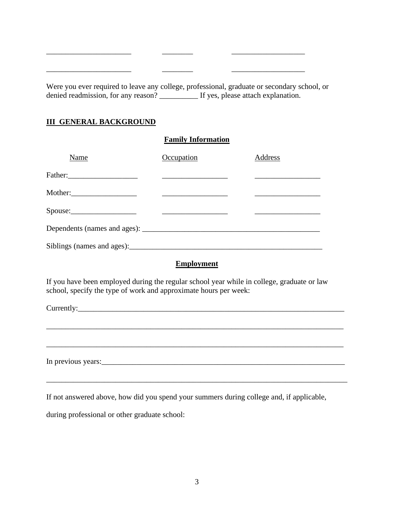Were you ever required to leave any college, professional, graduate or secondary school, or denied readmission, for any reason? \_\_\_\_\_\_\_\_\_\_\_\_ If yes, please attach explanation.

 $\frac{1}{2}$  ,  $\frac{1}{2}$  ,  $\frac{1}{2}$  ,  $\frac{1}{2}$  ,  $\frac{1}{2}$  ,  $\frac{1}{2}$  ,  $\frac{1}{2}$  ,  $\frac{1}{2}$  ,  $\frac{1}{2}$  ,  $\frac{1}{2}$  ,  $\frac{1}{2}$  ,  $\frac{1}{2}$  ,  $\frac{1}{2}$  ,  $\frac{1}{2}$  ,  $\frac{1}{2}$  ,  $\frac{1}{2}$  ,  $\frac{1}{2}$  ,  $\frac{1}{2}$  ,  $\frac{1$ 

\_\_\_\_\_\_\_\_\_\_\_\_\_\_\_\_\_\_\_\_\_\_ \_\_\_\_\_\_\_\_ \_\_\_\_\_\_\_\_\_\_\_\_\_\_\_\_\_\_\_

## **III GENERAL BACKGROUND**

#### **Family Information**

| Name                       | Occupation | Address |
|----------------------------|------------|---------|
| Father:                    |            |         |
| Mother:                    |            |         |
| Spouse:                    |            |         |
|                            |            |         |
| Siblings (names and ages): |            |         |

#### **Employment**

\_\_\_\_\_\_\_\_\_\_\_\_\_\_\_\_\_\_\_\_\_\_\_\_\_\_\_\_\_\_\_\_\_\_\_\_\_\_\_\_\_\_\_\_\_\_\_\_\_\_\_\_\_\_\_\_\_\_\_\_\_\_\_\_\_\_\_\_\_\_\_\_\_\_\_\_\_

\_\_\_\_\_\_\_\_\_\_\_\_\_\_\_\_\_\_\_\_\_\_\_\_\_\_\_\_\_\_\_\_\_\_\_\_\_\_\_\_\_\_\_\_\_\_\_\_\_\_\_\_\_\_\_\_\_\_\_\_\_\_\_\_\_\_\_\_\_\_\_\_\_\_\_\_\_

\_\_\_\_\_\_\_\_\_\_\_\_\_\_\_\_\_\_\_\_\_\_\_\_\_\_\_\_\_\_\_\_\_\_\_\_\_\_\_\_\_\_\_\_\_\_\_\_\_\_\_\_\_\_\_\_\_\_\_\_\_\_\_\_\_\_\_\_\_\_\_\_\_\_\_\_\_\_

If you have been employed during the regular school year while in college, graduate or law school, specify the type of work and approximate hours per week:

Currently:

In previous years:

If not answered above, how did you spend your summers during college and, if applicable,

during professional or other graduate school: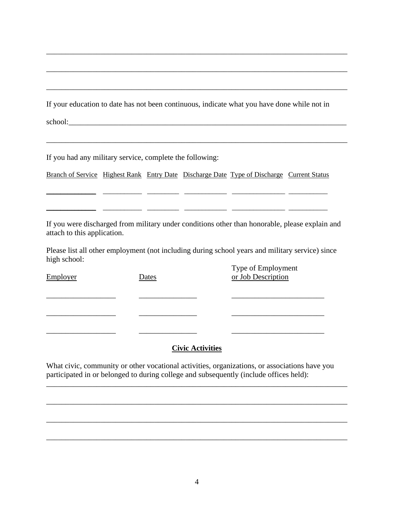If your education to date has not been continuous, indicate what you have done while not in

\_\_\_\_\_\_\_\_\_\_\_\_\_\_\_\_\_\_\_\_\_\_\_\_\_\_\_\_\_\_\_\_\_\_\_\_\_\_\_\_\_\_\_\_\_\_\_\_\_\_\_\_\_\_\_\_\_\_\_\_\_\_\_\_\_\_\_\_\_\_\_\_\_\_\_\_\_\_

\_\_\_\_\_\_\_\_\_\_\_\_\_\_\_\_\_\_\_\_\_\_\_\_\_\_\_\_\_\_\_\_\_\_\_\_\_\_\_\_\_\_\_\_\_\_\_\_\_\_\_\_\_\_\_\_\_\_\_\_\_\_\_\_\_\_\_\_\_\_\_\_\_\_\_\_\_\_

\_\_\_\_\_\_\_\_\_\_\_\_\_\_\_\_\_\_\_\_\_\_\_\_\_\_\_\_\_\_\_\_\_\_\_\_\_\_\_\_\_\_\_\_\_\_\_\_\_\_\_\_\_\_\_\_\_\_\_\_\_\_\_\_\_\_\_\_\_\_\_\_\_\_\_\_\_\_

\_\_\_\_\_\_\_\_\_\_\_\_\_\_\_\_\_\_\_\_\_\_\_\_\_\_\_\_\_\_\_\_\_\_\_\_\_\_\_\_\_\_\_\_\_\_\_\_\_\_\_\_\_\_\_\_\_\_\_\_\_\_\_\_\_\_\_\_\_\_\_\_\_\_\_\_\_\_

school:\_\_\_\_\_\_\_\_\_\_\_\_\_\_\_\_\_\_\_\_\_\_\_\_\_\_\_\_\_\_\_\_\_\_\_\_\_\_\_\_\_\_\_\_\_\_\_\_\_\_\_\_\_\_\_\_\_\_\_\_\_\_\_\_\_\_\_\_\_\_\_\_

If you had any military service, complete the following:

Branch of Service Highest Rank Entry Date Discharge Date Type of Discharge Current Status

\_\_\_\_\_\_\_\_\_\_\_\_\_\_ \_\_\_\_\_\_\_\_\_\_\_ \_\_\_\_\_\_\_\_\_ \_\_\_\_\_\_\_\_\_\_\_\_ \_\_\_\_\_\_\_\_\_\_\_\_\_\_\_ \_\_\_\_\_\_\_\_\_\_\_

If you were discharged from military under conditions other than honorable, please explain and attach to this application.

\_\_\_\_\_\_\_\_\_\_\_\_\_\_ \_\_\_\_\_\_\_\_\_\_\_ \_\_\_\_\_\_\_\_\_ \_\_\_\_\_\_\_\_\_\_\_\_ \_\_\_\_\_\_\_\_\_\_\_\_\_\_\_ \_\_\_\_\_\_\_\_\_\_\_

Please list all other employment (not including during school years and military service) since high school:

Type of Employment Employer Dates Dates or Job Description \_\_\_\_\_\_\_\_\_\_\_\_\_\_\_\_\_\_ \_\_\_\_\_\_\_\_\_\_\_\_\_\_\_ \_\_\_\_\_\_\_\_\_\_\_\_\_\_\_\_\_\_\_\_\_\_\_\_ \_\_\_\_\_\_\_\_\_\_\_\_\_\_\_\_\_\_ \_\_\_\_\_\_\_\_\_\_\_\_\_\_\_ \_\_\_\_\_\_\_\_\_\_\_\_\_\_\_\_\_\_\_\_\_\_\_\_ \_\_\_\_\_\_\_\_\_\_\_\_\_\_\_\_\_\_ \_\_\_\_\_\_\_\_\_\_\_\_\_\_\_ \_\_\_\_\_\_\_\_\_\_\_\_\_\_\_\_\_\_\_\_\_\_\_\_

# **Civic Activities**

\_\_\_\_\_\_\_\_\_\_\_\_\_\_\_\_\_\_\_\_\_\_\_\_\_\_\_\_\_\_\_\_\_\_\_\_\_\_\_\_\_\_\_\_\_\_\_\_\_\_\_\_\_\_\_\_\_\_\_\_\_\_\_\_\_\_\_\_\_\_\_\_\_\_\_\_\_\_

\_\_\_\_\_\_\_\_\_\_\_\_\_\_\_\_\_\_\_\_\_\_\_\_\_\_\_\_\_\_\_\_\_\_\_\_\_\_\_\_\_\_\_\_\_\_\_\_\_\_\_\_\_\_\_\_\_\_\_\_\_\_\_\_\_\_\_\_\_\_\_\_\_\_\_\_\_\_

\_\_\_\_\_\_\_\_\_\_\_\_\_\_\_\_\_\_\_\_\_\_\_\_\_\_\_\_\_\_\_\_\_\_\_\_\_\_\_\_\_\_\_\_\_\_\_\_\_\_\_\_\_\_\_\_\_\_\_\_\_\_\_\_\_\_\_\_\_\_\_\_\_\_\_\_\_\_

\_\_\_\_\_\_\_\_\_\_\_\_\_\_\_\_\_\_\_\_\_\_\_\_\_\_\_\_\_\_\_\_\_\_\_\_\_\_\_\_\_\_\_\_\_\_\_\_\_\_\_\_\_\_\_\_\_\_\_\_\_\_\_\_\_\_\_\_\_\_\_\_\_\_\_\_\_\_

What civic, community or other vocational activities, organizations, or associations have you participated in or belonged to during college and subsequently (include offices held):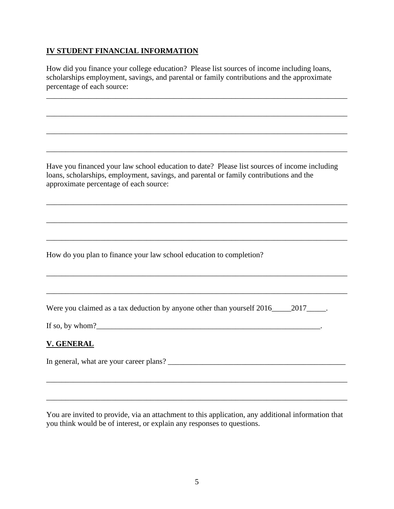## **IV STUDENT FINANCIAL INFORMATION**

How did you finance your college education? Please list sources of income including loans, scholarships employment, savings, and parental or family contributions and the approximate percentage of each source:

\_\_\_\_\_\_\_\_\_\_\_\_\_\_\_\_\_\_\_\_\_\_\_\_\_\_\_\_\_\_\_\_\_\_\_\_\_\_\_\_\_\_\_\_\_\_\_\_\_\_\_\_\_\_\_\_\_\_\_\_\_\_\_\_\_\_\_\_\_\_\_\_\_\_\_\_\_\_

\_\_\_\_\_\_\_\_\_\_\_\_\_\_\_\_\_\_\_\_\_\_\_\_\_\_\_\_\_\_\_\_\_\_\_\_\_\_\_\_\_\_\_\_\_\_\_\_\_\_\_\_\_\_\_\_\_\_\_\_\_\_\_\_\_\_\_\_\_\_\_\_\_\_\_\_\_\_

\_\_\_\_\_\_\_\_\_\_\_\_\_\_\_\_\_\_\_\_\_\_\_\_\_\_\_\_\_\_\_\_\_\_\_\_\_\_\_\_\_\_\_\_\_\_\_\_\_\_\_\_\_\_\_\_\_\_\_\_\_\_\_\_\_\_\_\_\_\_\_\_\_\_\_\_\_\_

\_\_\_\_\_\_\_\_\_\_\_\_\_\_\_\_\_\_\_\_\_\_\_\_\_\_\_\_\_\_\_\_\_\_\_\_\_\_\_\_\_\_\_\_\_\_\_\_\_\_\_\_\_\_\_\_\_\_\_\_\_\_\_\_\_\_\_\_\_\_\_\_\_\_\_\_\_\_

Have you financed your law school education to date? Please list sources of income including loans, scholarships, employment, savings, and parental or family contributions and the approximate percentage of each source:

\_\_\_\_\_\_\_\_\_\_\_\_\_\_\_\_\_\_\_\_\_\_\_\_\_\_\_\_\_\_\_\_\_\_\_\_\_\_\_\_\_\_\_\_\_\_\_\_\_\_\_\_\_\_\_\_\_\_\_\_\_\_\_\_\_\_\_\_\_\_\_\_\_\_\_\_\_\_

\_\_\_\_\_\_\_\_\_\_\_\_\_\_\_\_\_\_\_\_\_\_\_\_\_\_\_\_\_\_\_\_\_\_\_\_\_\_\_\_\_\_\_\_\_\_\_\_\_\_\_\_\_\_\_\_\_\_\_\_\_\_\_\_\_\_\_\_\_\_\_\_\_\_\_\_\_\_

\_\_\_\_\_\_\_\_\_\_\_\_\_\_\_\_\_\_\_\_\_\_\_\_\_\_\_\_\_\_\_\_\_\_\_\_\_\_\_\_\_\_\_\_\_\_\_\_\_\_\_\_\_\_\_\_\_\_\_\_\_\_\_\_\_\_\_\_\_\_\_\_\_\_\_\_\_\_

\_\_\_\_\_\_\_\_\_\_\_\_\_\_\_\_\_\_\_\_\_\_\_\_\_\_\_\_\_\_\_\_\_\_\_\_\_\_\_\_\_\_\_\_\_\_\_\_\_\_\_\_\_\_\_\_\_\_\_\_\_\_\_\_\_\_\_\_\_\_\_\_\_\_\_\_\_\_

How do you plan to finance your law school education to completion?

| Were you claimed as a tax deduction by anyone other than yourself 2016_ |  | 2017 |
|-------------------------------------------------------------------------|--|------|
|                                                                         |  |      |

If so, by whom?

## **V. GENERAL**

In general, what are your career plans? \_\_\_\_\_\_\_\_\_\_\_\_\_\_\_\_\_\_\_\_\_\_\_\_\_\_\_\_\_\_\_\_\_\_\_\_\_\_\_\_\_\_\_\_\_\_

You are invited to provide, via an attachment to this application, any additional information that you think would be of interest, or explain any responses to questions.

\_\_\_\_\_\_\_\_\_\_\_\_\_\_\_\_\_\_\_\_\_\_\_\_\_\_\_\_\_\_\_\_\_\_\_\_\_\_\_\_\_\_\_\_\_\_\_\_\_\_\_\_\_\_\_\_\_\_\_\_\_\_\_\_\_\_\_\_\_\_\_\_\_\_\_\_\_\_

\_\_\_\_\_\_\_\_\_\_\_\_\_\_\_\_\_\_\_\_\_\_\_\_\_\_\_\_\_\_\_\_\_\_\_\_\_\_\_\_\_\_\_\_\_\_\_\_\_\_\_\_\_\_\_\_\_\_\_\_\_\_\_\_\_\_\_\_\_\_\_\_\_\_\_\_\_\_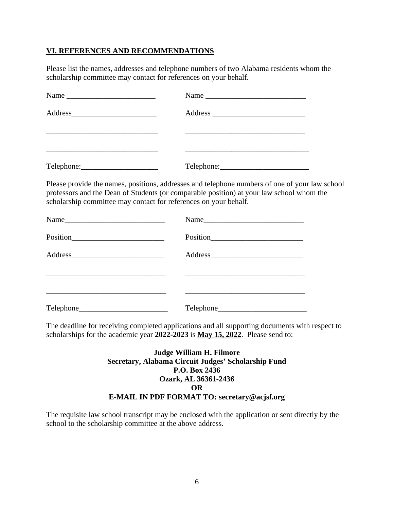## **VI. REFERENCES AND RECOMMENDATIONS**

Please list the names, addresses and telephone numbers of two Alabama residents whom the scholarship committee may contact for references on your behalf.

| Name                                            |  |
|-------------------------------------------------|--|
|                                                 |  |
|                                                 |  |
| $\text{Telephone:}\n \qquad \qquad \text{True}$ |  |

Please provide the names, positions, addresses and telephone numbers of one of your law school professors and the Dean of Students (or comparable position) at your law school whom the scholarship committee may contact for references on your behalf.

| Name | Name |
|------|------|
|      |      |
|      |      |
|      |      |
|      |      |

The deadline for receiving completed applications and all supporting documents with respect to scholarships for the academic year **2022-2023** is **May 15, 2022**. Please send to:

## **Judge William H. Filmore Secretary, Alabama Circuit Judges' Scholarship Fund P.O. Box 2436 Ozark, AL 36361-2436 OR E-MAIL IN PDF FORMAT TO: secretary@acjsf.org**

The requisite law school transcript may be enclosed with the application or sent directly by the school to the scholarship committee at the above address.